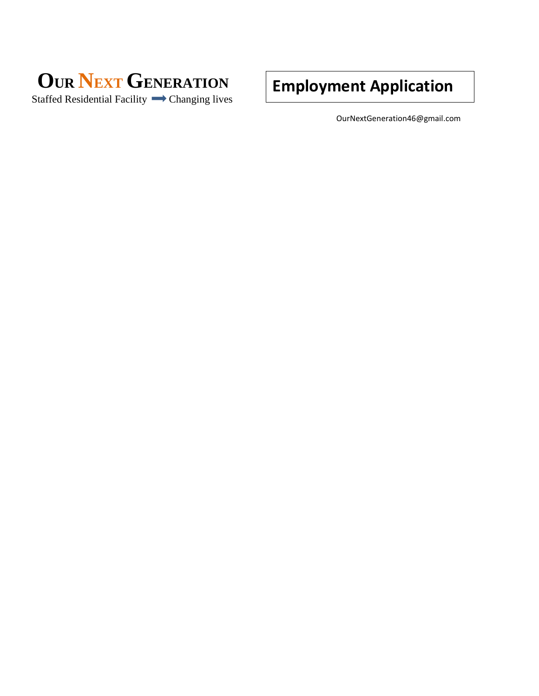

**Employment Application**

OurNextGeneration46@gmail.com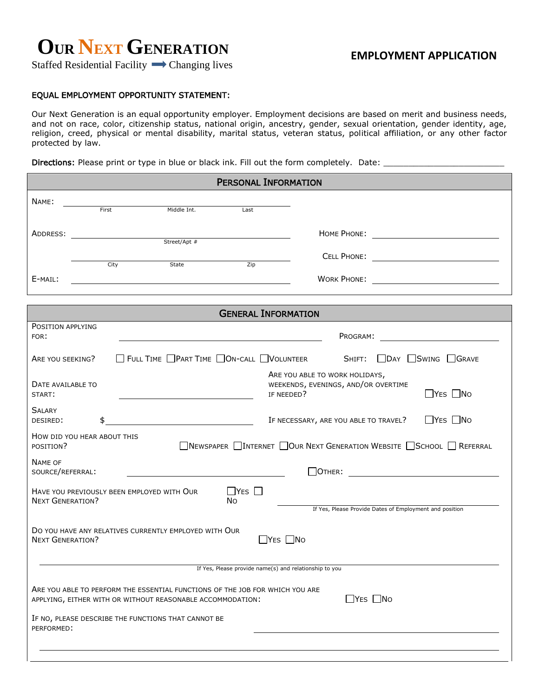# **OUR NEXT GENERATION**

Staffed Residential Facility  $\rightarrow$  Changing lives

### EQUAL EMPLOYMENT OPPORTUNITY STATEMENT:

Our Next Generation is an equal opportunity employer. Employment decisions are based on merit and business needs, and not on race, color, citizenship status, national origin, ancestry, gender, sexual orientation, gender identity, age, religion, creed, physical or mental disability, marital status, veteran status, political affiliation, or any other factor protected by law.

Directions: Please print or type in blue or black ink. Fill out the form completely. Date: \_\_\_\_\_\_\_\_\_\_\_\_\_\_\_\_\_\_

| <b>PERSONAL INFORMATION</b>                                                                                        |                                               |                                                                                                                                            |                                         |                            |            |                                                                       |  |                        |
|--------------------------------------------------------------------------------------------------------------------|-----------------------------------------------|--------------------------------------------------------------------------------------------------------------------------------------------|-----------------------------------------|----------------------------|------------|-----------------------------------------------------------------------|--|------------------------|
| NAME:                                                                                                              |                                               |                                                                                                                                            |                                         |                            |            |                                                                       |  |                        |
|                                                                                                                    | First                                         |                                                                                                                                            | Middle Int.                             | Last                       |            |                                                                       |  |                        |
| ADDRESS:                                                                                                           |                                               | $\overline{\phantom{a}}$ Street/Apt #                                                                                                      |                                         |                            |            |                                                                       |  |                        |
|                                                                                                                    |                                               |                                                                                                                                            |                                         |                            |            |                                                                       |  |                        |
| E-MAIL:                                                                                                            | City                                          |                                                                                                                                            | State                                   | Zip                        |            |                                                                       |  |                        |
|                                                                                                                    |                                               | <u> 1989 - Johann Stein, mars an deutscher Stein († 1989)</u>                                                                              |                                         |                            |            |                                                                       |  |                        |
|                                                                                                                    |                                               |                                                                                                                                            |                                         | <b>GENERAL INFORMATION</b> |            |                                                                       |  |                        |
| POSITION APPLYING<br>FOR:                                                                                          |                                               |                                                                                                                                            |                                         |                            |            | Program:                                                              |  |                        |
| ARE YOU SEEKING?                                                                                                   |                                               | FULL TIME PART TIME ON-CALL VOLUNTEER                                                                                                      |                                         |                            |            |                                                                       |  | SHIFT: DAY SWING GRAVE |
| DATE AVAILABLE TO<br>START:                                                                                        |                                               |                                                                                                                                            |                                         |                            | IF NEEDED? | ARE YOU ABLE TO WORK HOLIDAYS,<br>WEEKENDS, EVENINGS, AND/OR OVERTIME |  | $\Box$ YES $\Box$ No   |
| <b>SALARY</b><br>DESIRED:                                                                                          | \$                                            |                                                                                                                                            | <u> 1990 - Johann Barbara, martin a</u> |                            |            | IF NECESSARY, ARE YOU ABLE TO TRAVEL?                                 |  | $\Box$ YES $\Box$ No   |
| HOW DID YOU HEAR ABOUT THIS<br>■NEWSPAPER TINTERNET   OUR NEXT GENERATION WEBSITE   SCHOOL   REFERRAL<br>POSITION? |                                               |                                                                                                                                            |                                         |                            |            |                                                                       |  |                        |
| <b>NAME OF</b>                                                                                                     | $\boxed{\textsf{OTHER:}}$<br>SOURCE/REFERRAL: |                                                                                                                                            |                                         |                            |            |                                                                       |  |                        |
|                                                                                                                    |                                               | HAVE YOU PREVIOUSLY BEEN EMPLOYED WITH OUR                                                                                                 |                                         | $\Box$ YES $\Box$          |            |                                                                       |  |                        |
| <b>NEXT GENERATION?</b>                                                                                            |                                               |                                                                                                                                            |                                         | No.                        |            | If Yes, Please Provide Dates of Employment and position               |  |                        |
| DO YOU HAVE ANY RELATIVES CURRENTLY EMPLOYED WITH OUR<br>$\Box$ YES $\Box$ No<br><b>NEXT GENERATION?</b>           |                                               |                                                                                                                                            |                                         |                            |            |                                                                       |  |                        |
| If Yes, Please provide name(s) and relationship to you                                                             |                                               |                                                                                                                                            |                                         |                            |            |                                                                       |  |                        |
|                                                                                                                    |                                               | ARE YOU ABLE TO PERFORM THE ESSENTIAL FUNCTIONS OF THE JOB FOR WHICH YOU ARE<br>APPLYING, EITHER WITH OR WITHOUT REASONABLE ACCOMMODATION: |                                         |                            |            | $\Box$ YES $\Box$ No                                                  |  |                        |
| IF NO, PLEASE DESCRIBE THE FUNCTIONS THAT CANNOT BE<br>PERFORMED:                                                  |                                               |                                                                                                                                            |                                         |                            |            |                                                                       |  |                        |
|                                                                                                                    |                                               |                                                                                                                                            |                                         |                            |            |                                                                       |  |                        |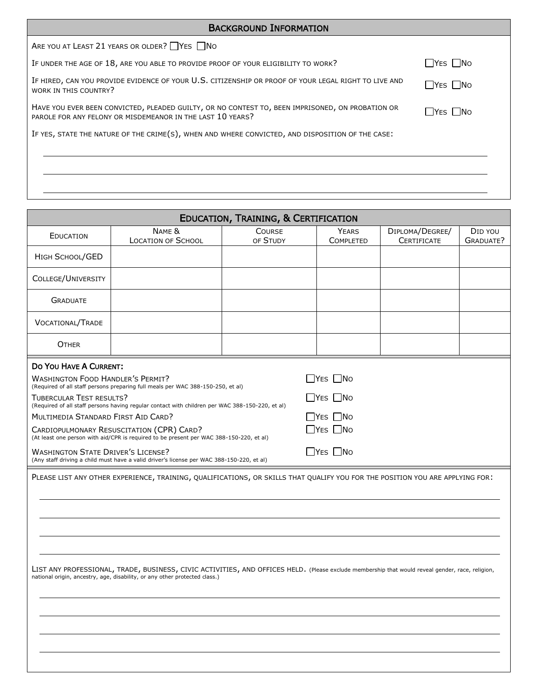| <b>BACKGROUND INFORMATION</b>                                                                                                                                  |                |  |  |  |
|----------------------------------------------------------------------------------------------------------------------------------------------------------------|----------------|--|--|--|
| ARE YOU AT LEAST 21 YEARS OR OLDER? YES NO                                                                                                                     |                |  |  |  |
| IF UNDER THE AGE OF 18, ARE YOU ABLE TO PROVIDE PROOF OF YOUR ELIGIBILITY TO WORK?                                                                             | l lYes i INo   |  |  |  |
| IF HIRED, CAN YOU PROVIDE EVIDENCE OF YOUR U.S. CITIZENSHIP OR PROOF OF YOUR LEGAL RIGHT TO LIVE AND<br>WORK IN THIS COUNTRY?                                  | <b>TYES NO</b> |  |  |  |
| HAVE YOU EVER BEEN CONVICTED, PLEADED GUILTY, OR NO CONTEST TO, BEEN IMPRISONED, ON PROBATION OR<br>PAROLE FOR ANY FELONY OR MISDEMEANOR IN THE LAST 10 YEARS? | l IYes I INo   |  |  |  |
| IF YES, STATE THE NATURE OF THE CRIME(S), WHEN AND WHERE CONVICTED, AND DISPOSITION OF THE CASE:                                                               |                |  |  |  |
|                                                                                                                                                                |                |  |  |  |
|                                                                                                                                                                |                |  |  |  |
|                                                                                                                                                                |                |  |  |  |
|                                                                                                                                                                |                |  |  |  |

| <b>EDUCATION, TRAINING, &amp; CERTIFICATION</b>                                                                                                                                                                                                                                                                                                                                                                                                                                                                                                                                                                                                                                                                                                                                                                                                                                                                                                                                                                                                                                                                 |                                     |                           |                                  |                                       |                      |  |  |
|-----------------------------------------------------------------------------------------------------------------------------------------------------------------------------------------------------------------------------------------------------------------------------------------------------------------------------------------------------------------------------------------------------------------------------------------------------------------------------------------------------------------------------------------------------------------------------------------------------------------------------------------------------------------------------------------------------------------------------------------------------------------------------------------------------------------------------------------------------------------------------------------------------------------------------------------------------------------------------------------------------------------------------------------------------------------------------------------------------------------|-------------------------------------|---------------------------|----------------------------------|---------------------------------------|----------------------|--|--|
| EDUCATION                                                                                                                                                                                                                                                                                                                                                                                                                                                                                                                                                                                                                                                                                                                                                                                                                                                                                                                                                                                                                                                                                                       | NAME &<br><b>LOCATION OF SCHOOL</b> | <b>COURSE</b><br>OF STUDY | <b>YEARS</b><br><b>COMPLETED</b> | DIPLOMA/DEGREE/<br><b>CERTIFICATE</b> | DID YOU<br>GRADUATE? |  |  |
| HIGH SCHOOL/GED                                                                                                                                                                                                                                                                                                                                                                                                                                                                                                                                                                                                                                                                                                                                                                                                                                                                                                                                                                                                                                                                                                 |                                     |                           |                                  |                                       |                      |  |  |
| COLLEGE/UNIVERSITY                                                                                                                                                                                                                                                                                                                                                                                                                                                                                                                                                                                                                                                                                                                                                                                                                                                                                                                                                                                                                                                                                              |                                     |                           |                                  |                                       |                      |  |  |
| <b>GRADUATE</b>                                                                                                                                                                                                                                                                                                                                                                                                                                                                                                                                                                                                                                                                                                                                                                                                                                                                                                                                                                                                                                                                                                 |                                     |                           |                                  |                                       |                      |  |  |
| <b>VOCATIONAL/TRADE</b>                                                                                                                                                                                                                                                                                                                                                                                                                                                                                                                                                                                                                                                                                                                                                                                                                                                                                                                                                                                                                                                                                         |                                     |                           |                                  |                                       |                      |  |  |
| <b>OTHER</b>                                                                                                                                                                                                                                                                                                                                                                                                                                                                                                                                                                                                                                                                                                                                                                                                                                                                                                                                                                                                                                                                                                    |                                     |                           |                                  |                                       |                      |  |  |
| DO YOU HAVE A CURRENT:<br>$\Box$ YES $\Box$ No<br><b>WASHINGTON FOOD HANDLER'S PERMIT?</b><br>(Required of all staff persons preparing full meals per WAC 388-150-250, et al)<br><b>TUBERCULAR TEST RESULTS?</b><br>$\Box$ YES $\Box$ No<br>(Required of all staff persons having regular contact with children per WAC 388-150-220, et al)<br>MULTIMEDIA STANDARD FIRST AID CARD?<br>$\Box$ YES $\Box$ No<br>$\Box$ Yes $\Box$ No<br>CARDIOPULMONARY RESUSCITATION (CPR) CARD?<br>(At least one person with aid/CPR is required to be present per WAC 388-150-220, et al)<br><b>WASHINGTON STATE DRIVER'S LICENSE?</b><br>$\Box$ YES $\Box$ No<br>(Any staff driving a child must have a valid driver's license per WAC 388-150-220, et al)<br>PLEASE LIST ANY OTHER EXPERIENCE, TRAINING, QUALIFICATIONS, OR SKILLS THAT QUALIFY YOU FOR THE POSITION YOU ARE APPLYING FOR:<br>LIST ANY PROFESSIONAL, TRADE, BUSINESS, CIVIC ACTIVITIES, AND OFFICES HELD. (Please exclude membership that would reveal gender, race, religion,<br>national origin, ancestry, age, disability, or any other protected class.) |                                     |                           |                                  |                                       |                      |  |  |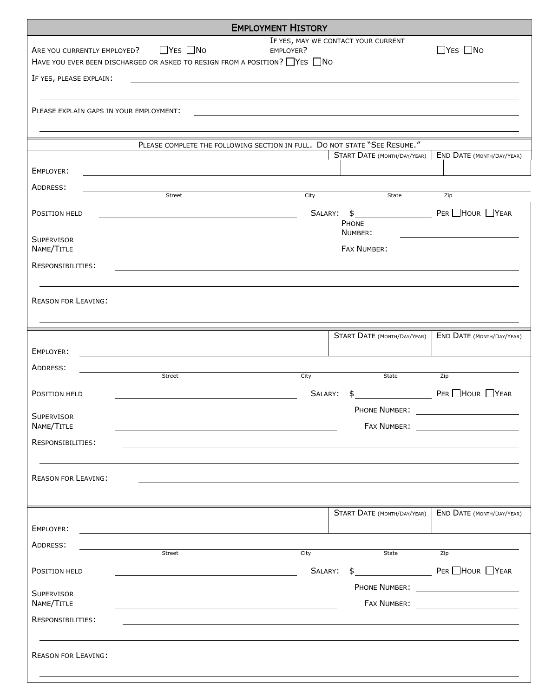|                             |                                                                                                  | <b>EMPLOYMENT HISTORY</b>                                                 |                                     |                                           |
|-----------------------------|--------------------------------------------------------------------------------------------------|---------------------------------------------------------------------------|-------------------------------------|-------------------------------------------|
| ARE YOU CURRENTLY EMPLOYED? | $\Box$ YES $\Box$ No<br>HAVE YOU EVER BEEN DISCHARGED OR ASKED TO RESIGN FROM A POSITION? VES NO | EMPLOYER?                                                                 | IF YES, MAY WE CONTACT YOUR CURRENT | $\Box$ YES $\Box$ No                      |
| IF YES, PLEASE EXPLAIN:     |                                                                                                  |                                                                           |                                     |                                           |
|                             |                                                                                                  |                                                                           |                                     |                                           |
|                             | PLEASE EXPLAIN GAPS IN YOUR EMPLOYMENT:                                                          |                                                                           |                                     |                                           |
|                             |                                                                                                  |                                                                           |                                     |                                           |
|                             |                                                                                                  | PLEASE COMPLETE THE FOLLOWING SECTION IN FULL. DO NOT STATE "SEE RESUME." | START DATE (MONTH/DAY/YEAR)         | <b>END DATE (MONTH/DAY/YEAR)</b>          |
| EMPLOYER:                   |                                                                                                  |                                                                           |                                     |                                           |
| ADDRESS:                    |                                                                                                  |                                                                           |                                     |                                           |
|                             | Street                                                                                           | City                                                                      | State                               | Zip                                       |
| POSITION HELD               |                                                                                                  |                                                                           | SALARY: \$<br>PHONE                 | PER HOUR TYEAR                            |
| <b>SUPERVISOR</b>           |                                                                                                  |                                                                           | NUMBER:                             |                                           |
| NAME/TITLE                  |                                                                                                  |                                                                           | FAX NUMBER:                         |                                           |
| RESPONSIBILITIES:           |                                                                                                  |                                                                           |                                     |                                           |
|                             |                                                                                                  |                                                                           |                                     |                                           |
| <b>REASON FOR LEAVING:</b>  |                                                                                                  |                                                                           |                                     |                                           |
|                             |                                                                                                  |                                                                           |                                     |                                           |
|                             |                                                                                                  |                                                                           | <b>START DATE (MONTH/DAY/YEAR)</b>  | END DATE (MONTH/DAY/YEAR)                 |
| EMPLOYER:                   |                                                                                                  |                                                                           |                                     |                                           |
| ADDRESS:                    |                                                                                                  |                                                                           |                                     |                                           |
|                             | Street                                                                                           | City                                                                      | State                               | Zip                                       |
| POSITION HELD               |                                                                                                  | SALARY:                                                                   |                                     | PER HOUR YEAR                             |
| <b>SUPERVISOR</b>           |                                                                                                  |                                                                           | PHONE NUMBER:                       |                                           |
| NAME/TITLE                  |                                                                                                  |                                                                           |                                     |                                           |
| RESPONSIBILITIES:           |                                                                                                  |                                                                           |                                     |                                           |
|                             |                                                                                                  |                                                                           |                                     |                                           |
| <b>REASON FOR LEAVING:</b>  |                                                                                                  |                                                                           |                                     |                                           |
|                             |                                                                                                  |                                                                           |                                     |                                           |
|                             |                                                                                                  |                                                                           | START DATE (MONTH/DAY/YEAR)         | <b>END DATE (MONTH/DAY/YEAR)</b>          |
| EMPLOYER:                   |                                                                                                  |                                                                           |                                     |                                           |
| ADDRESS:                    |                                                                                                  |                                                                           |                                     |                                           |
|                             | Street                                                                                           | City                                                                      | State                               | Zip                                       |
| POSITION HELD               |                                                                                                  | SALARY:                                                                   | $\sim$                              | $PER$ $Hour$ $Year$                       |
| <b>SUPERVISOR</b>           |                                                                                                  |                                                                           |                                     | PHONE NUMBER: <u>____________________</u> |
| NAME/TITLE                  |                                                                                                  |                                                                           | FAX NUMBER:                         | <u> 1990 - Johann Barbara, martxa a</u>   |
| RESPONSIBILITIES:           |                                                                                                  |                                                                           |                                     |                                           |
|                             |                                                                                                  |                                                                           |                                     |                                           |
| <b>REASON FOR LEAVING:</b>  |                                                                                                  |                                                                           |                                     |                                           |
|                             |                                                                                                  |                                                                           |                                     |                                           |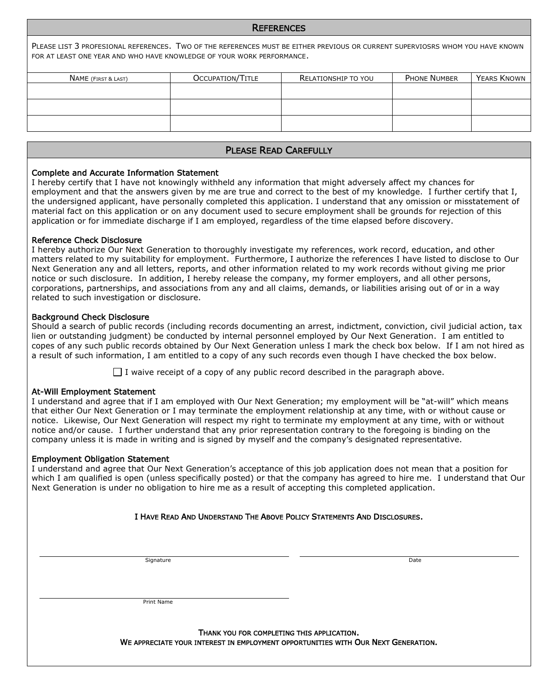#### **REFERENCES**

PLEASE LIST 3 PROFESIONAL REFERENCES. TWO OF THE REFERENCES MUST BE EITHER PREVIOUS OR CURRENT SUPERVIOSRS WHOM YOU HAVE KNOWN FOR AT LEAST ONE YEAR AND WHO HAVE KNOWLEDGE OF YOUR WORK PERFORMANCE.

| OCCUPATION/TITLE | RELATIONSHIP TO YOU | <b>PHONE NUMBER</b> | YEARS KNOWN |
|------------------|---------------------|---------------------|-------------|
|                  |                     |                     |             |
|                  |                     |                     |             |
|                  |                     |                     |             |
|                  |                     |                     |             |
|                  |                     |                     |             |

#### PLEASE READ CAREFULLY

#### Complete and Accurate Information Statement

I hereby certify that I have not knowingly withheld any information that might adversely affect my chances for employment and that the answers given by me are true and correct to the best of my knowledge. I further certify that I, the undersigned applicant, have personally completed this application. I understand that any omission or misstatement of material fact on this application or on any document used to secure employment shall be grounds for rejection of this application or for immediate discharge if I am employed, regardless of the time elapsed before discovery.

#### Reference Check Disclosure

I hereby authorize Our Next Generation to thoroughly investigate my references, work record, education, and other matters related to my suitability for employment. Furthermore, I authorize the references I have listed to disclose to Our Next Generation any and all letters, reports, and other information related to my work records without giving me prior notice or such disclosure. In addition, I hereby release the company, my former employers, and all other persons, corporations, partnerships, and associations from any and all claims, demands, or liabilities arising out of or in a way related to such investigation or disclosure.

#### Background Check Disclosure

Should a search of public records (including records documenting an arrest, indictment, conviction, civil judicial action, tax lien or outstanding judgment) be conducted by internal personnel employed by Our Next Generation. I am entitled to copes of any such public records obtained by Our Next Generation unless I mark the check box below. If I am not hired as a result of such information, I am entitled to a copy of any such records even though I have checked the box below.

 $\Box$  I waive receipt of a copy of any public record described in the paragraph above.

#### At-Will Employment Statement

I understand and agree that if I am employed with Our Next Generation; my employment will be "at-will" which means that either Our Next Generation or I may terminate the employment relationship at any time, with or without cause or notice. Likewise, Our Next Generation will respect my right to terminate my employment at any time, with or without notice and/or cause. I further understand that any prior representation contrary to the foregoing is binding on the company unless it is made in writing and is signed by myself and the company's designated representative.

#### Employment Obligation Statement

I understand and agree that Our Next Generation's acceptance of this job application does not mean that a position for which I am qualified is open (unless specifically posted) or that the company has agreed to hire me. I understand that Our Next Generation is under no obligation to hire me as a result of accepting this completed application.

| I HAVE READ AND UNDERSTAND THE ABOVE POLICY STATEMENTS AND DISCLOSURES. |      |  |  |  |  |
|-------------------------------------------------------------------------|------|--|--|--|--|
|                                                                         |      |  |  |  |  |
| Signature                                                               | Date |  |  |  |  |
|                                                                         |      |  |  |  |  |
|                                                                         |      |  |  |  |  |
| Print Name                                                              |      |  |  |  |  |
|                                                                         |      |  |  |  |  |

THANK YOU FOR COMPLETING THIS APPLICATION. WE APPRECIATE YOUR INTEREST IN EMPLOYMENT OPPORTUNITIES WITH OUR NEXT GENERATION.